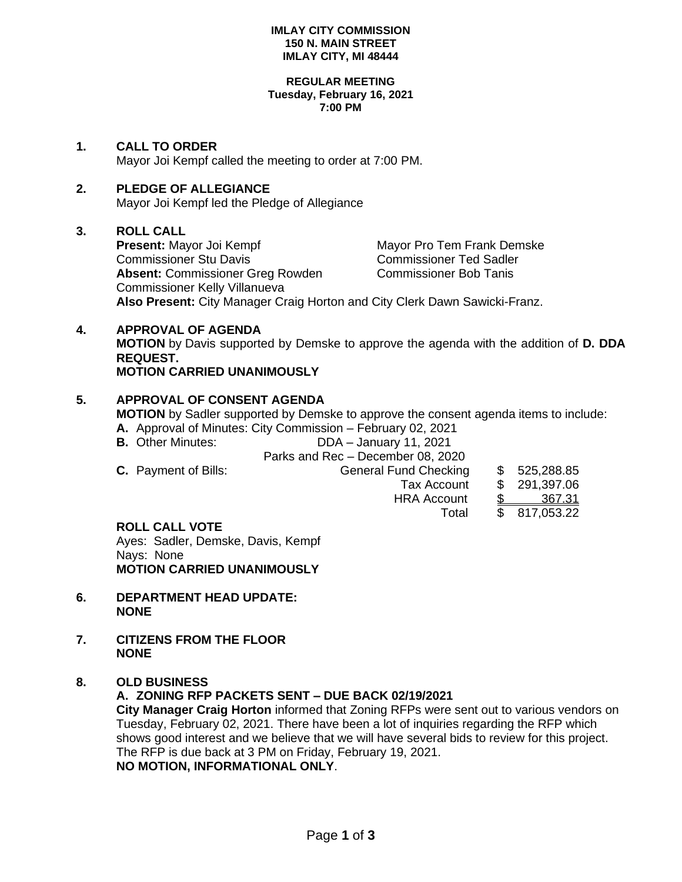#### **IMLAY CITY COMMISSION 150 N. MAIN STREET IMLAY CITY, MI 48444**

#### **REGULAR MEETING Tuesday, February 16, 2021 7:00 PM**

**1. CALL TO ORDER**

Mayor Joi Kempf called the meeting to order at 7:00 PM.

# **2. PLEDGE OF ALLEGIANCE**

Mayor Joi Kempf led the Pledge of Allegiance

# **3. ROLL CALL**

**Present:** Mayor Joi Kempf Mayor Pro Tem Frank Demske Commissioner Stu Davis Commissioner Ted Sadler Absent: Commissioner Greg Rowden Commissioner Bob Tanis Commissioner Kelly Villanueva **Also Present:** City Manager Craig Horton and City Clerk Dawn Sawicki-Franz.

# **4. APPROVAL OF AGENDA**

**MOTION** by Davis supported by Demske to approve the agenda with the addition of **D. DDA REQUEST.**

**MOTION CARRIED UNANIMOUSLY**

# **5. APPROVAL OF CONSENT AGENDA**

**MOTION** by Sadler supported by Demske to approve the consent agenda items to include:

**A.** Approval of Minutes: City Commission – February 02, 2021

**B.** Other Minutes: DDA – January 11, 2021

| Parks and Rec - December 08, 2020 |  |  |
|-----------------------------------|--|--|
|                                   |  |  |

**C.** Payment of Bills: General Fund Checking \$ 525,288.85 Tax Account \$ 291,397.06 HRA Account \$ 367.31 Total \$ 817,053.22

#### **ROLL CALL VOTE**

Ayes: Sadler, Demske, Davis, Kempf Nays: None **MOTION CARRIED UNANIMOUSLY**

- **6. DEPARTMENT HEAD UPDATE: NONE**
- **7. CITIZENS FROM THE FLOOR NONE**

#### **8. OLD BUSINESS**

**A. ZONING RFP PACKETS SENT – DUE BACK 02/19/2021 City Manager Craig Horton** informed that Zoning RFPs were sent out to various vendors on Tuesday, February 02, 2021. There have been a lot of inquiries regarding the RFP which shows good interest and we believe that we will have several bids to review for this project. The RFP is due back at 3 PM on Friday, February 19, 2021. **NO MOTION, INFORMATIONAL ONLY**.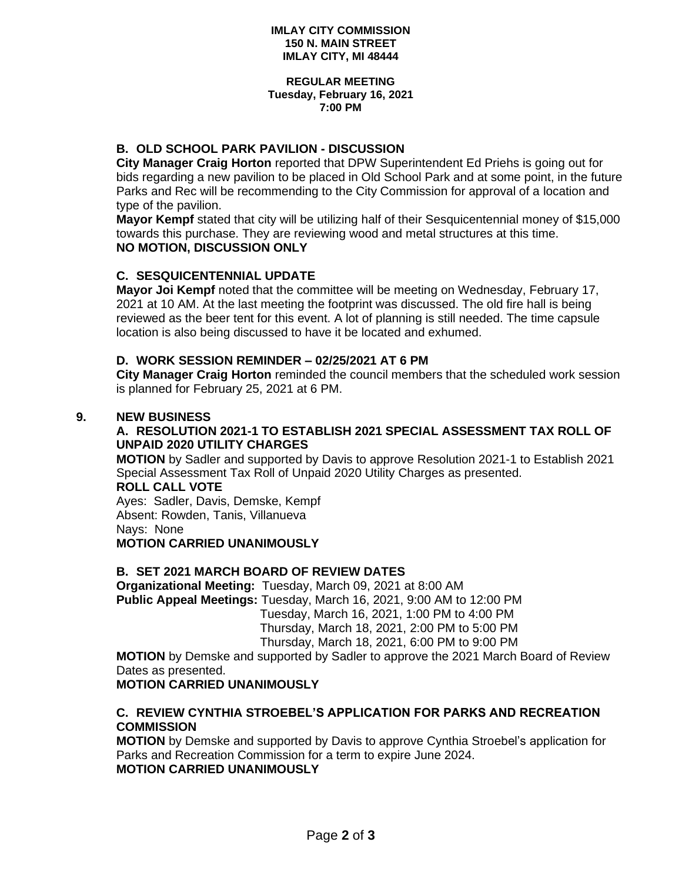#### **REGULAR MEETING Tuesday, February 16, 2021 7:00 PM**

# **B. OLD SCHOOL PARK PAVILION - DISCUSSION**

**City Manager Craig Horton** reported that DPW Superintendent Ed Priehs is going out for bids regarding a new pavilion to be placed in Old School Park and at some point, in the future Parks and Rec will be recommending to the City Commission for approval of a location and type of the pavilion.

**Mayor Kempf** stated that city will be utilizing half of their Sesquicentennial money of \$15,000 towards this purchase. They are reviewing wood and metal structures at this time. **NO MOTION, DISCUSSION ONLY**

### **C. SESQUICENTENNIAL UPDATE**

**Mayor Joi Kempf** noted that the committee will be meeting on Wednesday, February 17, 2021 at 10 AM. At the last meeting the footprint was discussed. The old fire hall is being reviewed as the beer tent for this event. A lot of planning is still needed. The time capsule location is also being discussed to have it be located and exhumed.

#### **D. WORK SESSION REMINDER – 02/25/2021 AT 6 PM**

**City Manager Craig Horton** reminded the council members that the scheduled work session is planned for February 25, 2021 at 6 PM.

### **9. NEW BUSINESS**

### **A. RESOLUTION 2021-1 TO ESTABLISH 2021 SPECIAL ASSESSMENT TAX ROLL OF UNPAID 2020 UTILITY CHARGES**

**MOTION** by Sadler and supported by Davis to approve Resolution 2021-1 to Establish 2021 Special Assessment Tax Roll of Unpaid 2020 Utility Charges as presented.

# **ROLL CALL VOTE**

Ayes: Sadler, Davis, Demske, Kempf Absent: Rowden, Tanis, Villanueva Nays: None

**MOTION CARRIED UNANIMOUSLY**

# **B. SET 2021 MARCH BOARD OF REVIEW DATES**

**Organizational Meeting:** Tuesday, March 09, 2021 at 8:00 AM

**Public Appeal Meetings:** Tuesday, March 16, 2021, 9:00 AM to 12:00 PM

Tuesday, March 16, 2021, 1:00 PM to 4:00 PM

Thursday, March 18, 2021, 2:00 PM to 5:00 PM

Thursday, March 18, 2021, 6:00 PM to 9:00 PM

**MOTION** by Demske and supported by Sadler to approve the 2021 March Board of Review Dates as presented.

### **MOTION CARRIED UNANIMOUSLY**

### **C. REVIEW CYNTHIA STROEBEL'S APPLICATION FOR PARKS AND RECREATION COMMISSION**

**MOTION** by Demske and supported by Davis to approve Cynthia Stroebel's application for Parks and Recreation Commission for a term to expire June 2024. **MOTION CARRIED UNANIMOUSLY**